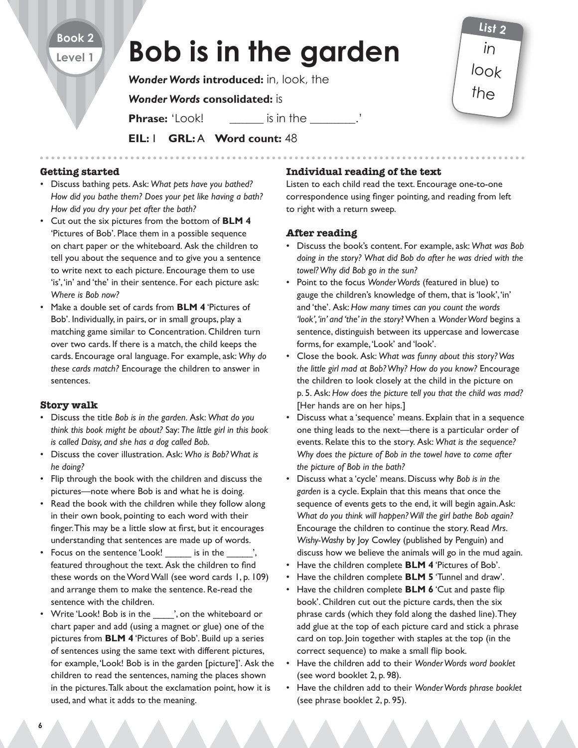# **Bob is in the garden**

*Wonder Words* **introduced:** in, look, the

## *Wonder Words* **consolidated:** is

**Phrase:** 'Look! is in the  $\cdot$ .'

**EIL:** 1 **GRL:** A **Word count:** 48

#### **Getting started**

**Book 2 Level 1**

- Discuss bathing pets. Ask: *What pets have you bathed? How did you bathe them? Does your pet like having a bath? How did you dry your pet after the bath?*
- Cut out the six pictures from the bottom of **BLM 4** 'Pictures of Bob'. Place them in a possible sequence on chart paper or the whiteboard. Ask the children to tell you about the sequence and to give you a sentence to write next to each picture. Encourage them to use 'is', 'in' and 'the' in their sentence. For each picture ask: *Where is Bob now?*
- Make a double set of cards from **BLM 4** 'Pictures of Bob'. Individually, in pairs, or in small groups, play a matching game similar to Concentration. Children turn over two cards. If there is a match, the child keeps the cards. Encourage oral language. For example, ask: *Why do these cards match?* Encourage the children to answer in sentences.

#### **Story walk**

- Discuss the title *Bob is in the garden*. Ask: *What do you think this book might be about?* Say: *The little girl in this book is called Daisy, and she has a dog called Bob.*
- Discuss the cover illustration. Ask: *Who is Bob? What is he doing?*
- Flip through the book with the children and discuss the pictures—note where Bob is and what he is doing.
- Read the book with the children while they follow along in their own book, pointing to each word with their finger. This may be a little slow at first, but it encourages understanding that sentences are made up of words.
- Focus on the sentence 'Look! is in the featured throughout the text. Ask the children to find these words on the Word Wall (see word cards 1, p. 109) and arrange them to make the sentence. Re-read the sentence with the children.
- Write 'Look! Bob is in the  $\ldots$ , on the whiteboard or chart paper and add (using a magnet or glue) one of the pictures from **BLM 4** 'Pictures of Bob'. Build up a series of sentences using the same text with different pictures, for example, 'Look! Bob is in the garden [picture]'. Ask the children to read the sentences, naming the places shown in the pictures. Talk about the exclamation point, how it is used, and what it adds to the meaning.

### **Individual reading of the text**

Listen to each child read the text. Encourage one-to-one correspondence using finger pointing, and reading from left to right with a return sweep.

in

**List 2**

look

the

### **After reading**

- Discuss the book's content. For example, ask: *What was Bob doing in the story? What did Bob do after he was dried with the towel? Why did Bob go in the sun?*
- Point to the focus *Wonder Words* (featured in blue) to gauge the children's knowledge of them, that is 'look', 'in' and 'the'. Ask: *How many times can you count the words 'look', 'in' and 'the' in the story*? When a *Wonder Word* begins a sentence, distinguish between its uppercase and lowercase forms, for example, 'Look' and 'look'.
- Close the book. Ask: *What was funny about this story? Was the little girl mad at Bob? Why? How do you know?* Encourage the children to look closely at the child in the picture on p. 5. Ask: *How does the picture tell you that the child was mad?* [Her hands are on her hips.]
- Discuss what a 'sequence' means. Explain that in a sequence one thing leads to the next—there is a particular order of events. Relate this to the story. Ask: *What is the sequence? Why does the picture of Bob in the towel have to come after the picture of Bob in the bath?*
- Discuss what a 'cycle' means. Discuss why *Bob is in the garden* is a cycle. Explain that this means that once the sequence of events gets to the end, it will begin again. Ask: *What do you think will happen? Will the girl bathe Bob again?* Encourage the children to continue the story. Read *Mrs. Wishy-Washy* by Joy Cowley (published by Penguin) and discuss how we believe the animals will go in the mud again.
- Have the children complete **BLM 4** 'Pictures of Bob'.
- Have the children complete **BLM 5** 'Tunnel and draw'.
- Have the children complete **BLM 6** 'Cut and paste flip book'. Children cut out the picture cards, then the six phrase cards (which they fold along the dashed line). They add glue at the top of each picture card and stick a phrase card on top. Join together with staples at the top (in the correct sequence) to make a small flip book.
- Have the children add to their *Wonder Words word booklet* (see word booklet 2, p. 98).
- Have the children add to their *Wonder Words phrase booklet* (see phrase booklet *2*, p. 95).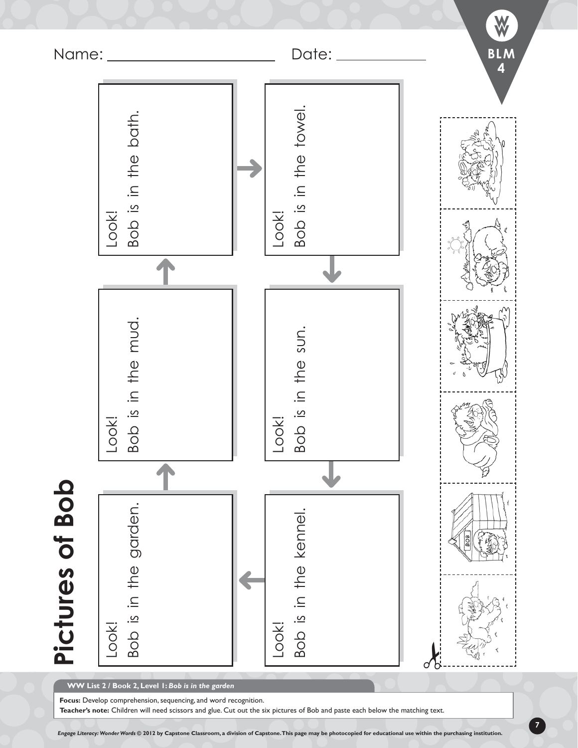

**WW List 2 / Book 2, Level 1:** *Bob is in the garden*

**Focus:** Develop comprehension, sequencing, and word recognition.

*Engage Literacy: Wonder Words* **© 2012 by Capstone Classroom, a division of Capstone. This page may be photocopied for educational use within the purchasing institution.**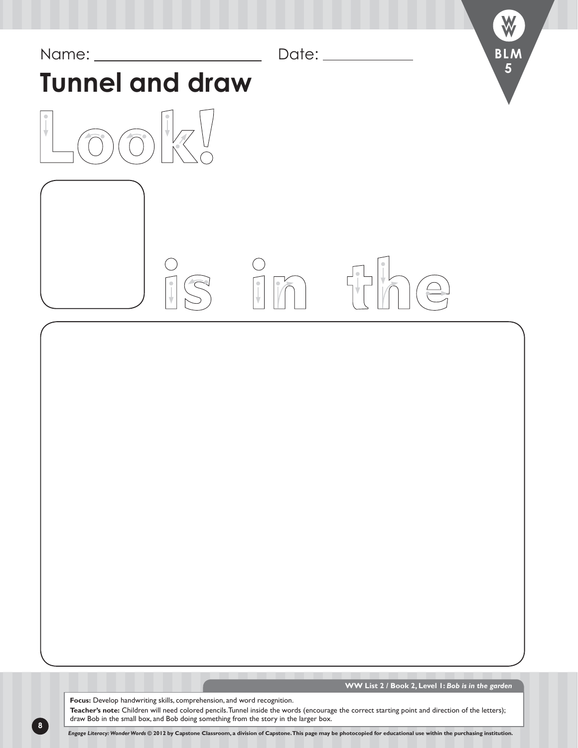

**Focus:** Develop handwriting skills, comprehension, and word recognition. **Teacher's note:** Children will need colored pencils. Tunnel inside the words (encourage the correct starting point and direction of the letters); draw Bob in the small box, and Bob doing something from the story in the larger box.

**8**

*Engage Literacy: Wonder Words* **© 2012 by Capstone Classroom, a division of Capstone. This page may be photocopied for educational use within the purchasing institution.**